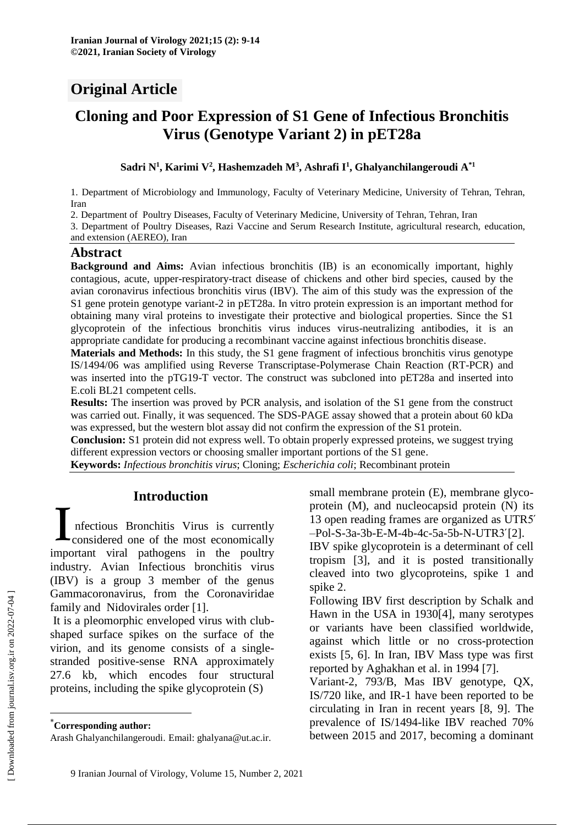# **Original Article**

# **Cloning and Poor Expression of S1 Gene of Infectious Bronchitis Virus (Genotype Variant 2) in pET28a**

#### **Sadri N<sup>1</sup> , Karimi V<sup>2</sup> , Hashemzadeh M<sup>3</sup> , Ashrafi I 1 , Ghalyanchilangeroudi A\*1**

1. Department of Microbiology and Immunology, Faculty of Veterinary Medicine, University of Tehran, Tehran, Iran

2. Department of Poultry Diseases, Faculty of Veterinary Medicine, University of Tehran, Tehran, Iran

3. Department of Poultry Diseases, Razi Vaccine and Serum Research Institute, agricultural research, education, and extension (AEREO), Iran

#### **Abstract**

**Background and Aims:** Avian infectious bronchitis (IB) is an economically important, highly contagious, acute, upper-respiratory-tract disease of chickens and other bird species, caused by the avian coronavirus infectious bronchitis virus (IBV). The aim of this study was the expression of the S1 gene protein genotype variant-2 in pET28a. In vitro protein expression is an important method for obtaining many viral proteins to investigate their protective and biological properties. Since the S1 glycoprotein of the infectious bronchitis virus induces virus-neutralizing antibodies, it is an appropriate candidate for producing a recombinant vaccine against infectious bronchitis disease.

**Materials and Methods:** In this study, the S1 gene fragment of infectious bronchitis virus genotype IS/1494/06 was amplified using Reverse Transcriptase-Polymerase Chain Reaction (RT-PCR) and was inserted into the pTG19-T vector. The construct was subcloned into pET28a and inserted into E.coli BL21 competent cells.

**Results:** The insertion was proved by PCR analysis, and isolation of the S1 gene from the construct was carried out. Finally, it was sequenced. The SDS-PAGE assay showed that a protein about 60 kDa was expressed, but the western blot assay did not confirm the expression of the S1 protein.

**Conclusion:** S1 protein did not express well. To obtain properly expressed proteins, we suggest trying different expression vectors or choosing smaller important portions of the S1 gene.

**Keywords:** *Infectious bronchitis virus*; Cloning; *Escherichia coli*; Recombinant protein

# **Introduction\***

nfectious Bronchitis Virus is currently considered one of the most economically Introduction<br>
Infectious Bronchitis Virus is currently<br>
considered one of the most economically<br>
important viral pathogens in the poultry industry. Avian Infectious bronchitis virus (IBV) is a group 3 member of the genus Gammacoronavirus, from the Coronaviridae family and Nidovirales order [1].

It is a pleomorphic enveloped virus with clubshaped surface spikes on the surface of the virion, and its genome consists of a singlestranded positive-sense RNA approximately 27.6 kb, which encodes four structural proteins, including the spike glycoprotein (S)

small membrane protein (E), membrane glycoprotein (M), and nucleocapsid protein (N) its 13 open reading frames are organized as UTR5́ –Pol-S-3a-3b-E-M-4b-4c-5a-5b-N-UTR3́[2].

IBV spike glycoprotein is a determinant of cell tropism [3], and it is posted transitionally cleaved into two glycoproteins, spike 1 and spike 2.

Following IBV first description by Schalk and Hawn in the USA in 1930[4], many serotypes or variants have been classified worldwide, against which little or no cross-protection exists [5, 6]. In Iran, IBV Mass type was first reported by Aghakhan et al. in 1994 [7].

Variant-2, 793/B, Mas IBV genotype, QX, IS/720 like, and IR-1 have been reported to be circulating in Iran in recent years [8, 9]. The prevalence of IS/1494-like IBV reached 70% between 2015 and 2017, becoming a dominant

 $\overline{a}$ 

<sup>\*</sup>**Corresponding author:**

Arash Ghalyanchilangeroudi. Email: ghalyana@ut.ac.ir.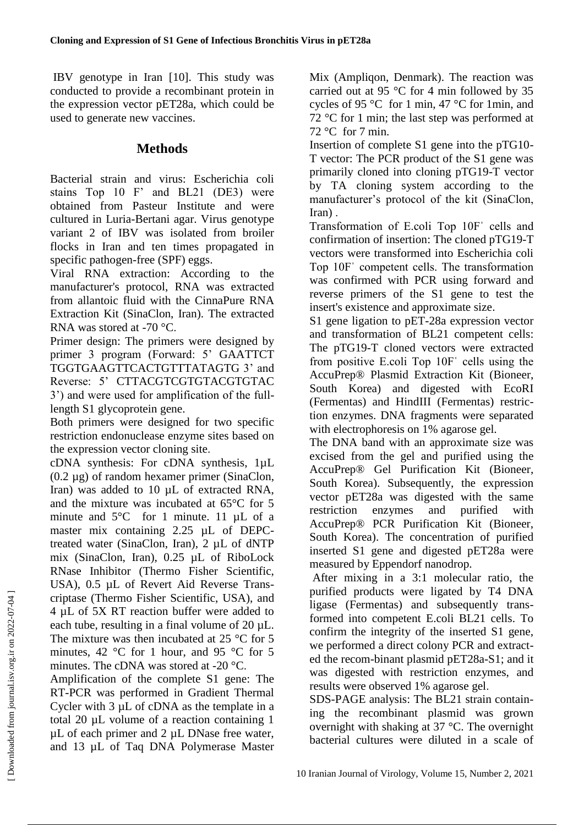IBV genotype in Iran [10]. This study was conducted to provide a recombinant protein in the expression vector pET28a, which could be used to generate new vaccines.

# **Methods**

Bacterial strain and virus: Escherichia coli stains Top 10 F' and BL21 (DE3) were obtained from Pasteur Institute and were cultured in Luria-Bertani agar. Virus genotype variant 2 of IBV was isolated from broiler flocks in Iran and ten times propagated in specific pathogen-free (SPF) eggs.

Viral RNA extraction: According to the manufacturer's protocol, RNA was extracted from allantoic fluid with the CinnaPure RNA Extraction Kit (SinaClon, Iran). The extracted RNA was stored at -70 °C.

Primer design: The primers were designed by primer 3 program (Forward: 5' GAATTCT TGGTGAAGTTCACTGTTTATAGTG 3' and Reverse: 5' CTTACGTCGTGTACGTGTAC 3') and were used for amplification of the fulllength S1 glycoprotein gene.

Both primers were designed for two specific restriction endonuclease enzyme sites based on the expression vector cloning site.

cDNA synthesis: For cDNA synthesis, 1µL (0.2 µg) of random hexamer primer (SinaClon, Iran) was added to 10 µL of extracted RNA, and the mixture was incubated at 65°C for 5 minute and 5°C for 1 minute. 11 µL of a master mix containing 2.25 µL of DEPCtreated water (SinaClon, Iran), 2 µL of dNTP mix (SinaClon, Iran), 0.25 µL of RiboLock RNase Inhibitor (Thermo Fisher Scientific, USA), 0.5 µL of Revert Aid Reverse Transcriptase (Thermo Fisher Scientific, USA), and 4 µL of 5X RT reaction buffer were added to each tube, resulting in a final volume of  $20 \mu L$ . The mixture was then incubated at 25 °C for 5 minutes, 42 °C for 1 hour, and 95 °C for 5 minutes. The cDNA was stored at -20 °C.

Amplification of the complete S1 gene: The RT-PCR was performed in Gradient Thermal Cycler with 3 µL of cDNA as the template in a total 20 µL volume of a reaction containing 1 µL of each primer and 2 µL DNase free water, and 13 µL of Taq DNA Polymerase Master

Mix (Ampliqon, Denmark). The reaction was carried out at 95 °C for 4 min followed by 35 cycles of 95 °C for 1 min, 47 °C for 1min, and 72 °C for 1 min; the last step was performed at  $72^{\circ}$ C for 7 min.

Insertion of complete S1 gene into the pTG10- T vector: The PCR product of the S1 gene was primarily cloned into cloning pTG19-T vector by TA cloning system according to the manufacturer's protocol of the kit (SinaClon, Iran) .

Transformation of E.coli Top 10Fˈ cells and confirmation of insertion: The cloned pTG19-T vectors were transformed into Escherichia coli Top 10Fˈ competent cells. The transformation was confirmed with PCR using forward and reverse primers of the S1 gene to test the insert's existence and approximate size.

S1 gene ligation to pET-28a expression vector and transformation of BL21 competent cells: The pTG19-T cloned vectors were extracted from positive E.coli Top 10Fˈ cells using the AccuPrep® Plasmid Extraction Kit (Bioneer, South Korea) and digested with EcoRI (Fermentas) and HindIII (Fermentas) restriction enzymes. DNA fragments were separated with electrophoresis on 1% agarose gel.

The DNA band with an approximate size was excised from the gel and purified using the AccuPrep® Gel Purification Kit (Bioneer, South Korea). Subsequently, the expression vector pET28a was digested with the same restriction enzymes and purified with AccuPrep® PCR Purification Kit (Bioneer, South Korea). The concentration of purified inserted S1 gene and digested pET28a were measured by Eppendorf nanodrop.

After mixing in a 3:1 molecular ratio, the purified products were ligated by T4 DNA ligase (Fermentas) and subsequently transformed into competent E.coli BL21 cells. To confirm the integrity of the inserted S1 gene, we performed a direct colony PCR and extracted the recom-binant plasmid pET28a-S1; and it was digested with restriction enzymes, and results were observed 1% agarose gel.

SDS-PAGE analysis: The BL21 strain containing the recombinant plasmid was grown overnight with shaking at 37 °C. The overnight bacterial cultures were diluted in a scale of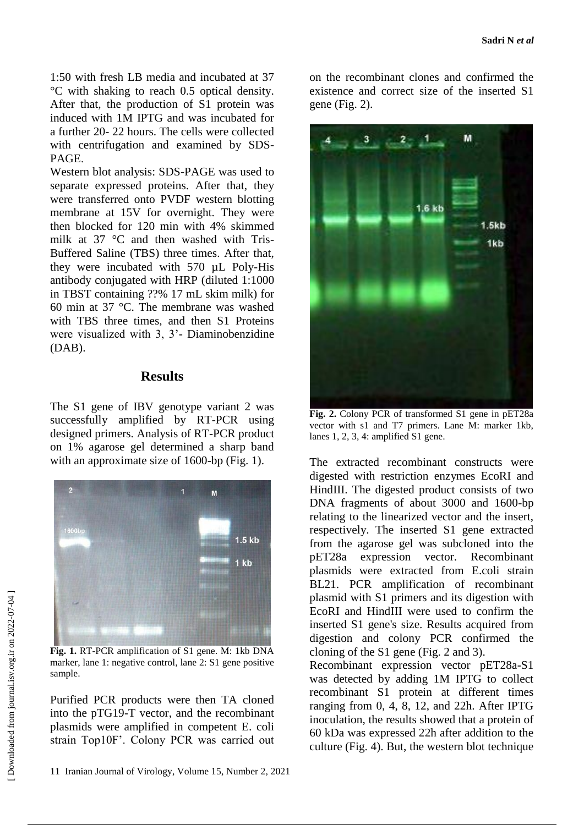1:50 with fresh LB media and incubated at 37 °C with shaking to reach 0.5 optical density. After that, the production of S1 protein was induced with 1M IPTG and was incubated for a further 20- 22 hours. The cells were collected with centrifugation and examined by SDS-PAGE.

Western blot analysis: SDS-PAGE was used to separate expressed proteins. After that, they were transferred onto PVDF western blotting membrane at 15V for overnight. They were then blocked for 120 min with 4% skimmed milk at 37 °C and then washed with Tris-Buffered Saline (TBS) three times. After that, they were incubated with 570 µL Poly-His antibody conjugated with HRP (diluted 1:1000 in TBST containing ??% 17 mL skim milk) for 60 min at 37 °C. The membrane was washed with TBS three times, and then S1 Proteins were visualized with 3, 3'- Diaminobenzidine (DAB).

### **Results**

The S1 gene of IBV genotype variant 2 was successfully amplified by RT-PCR using designed primers. Analysis of RT-PCR product on 1% agarose gel determined a sharp band with an approximate size of 1600-bp (Fig. 1).



**Fig. 1.** RT-PCR amplification of S1 gene. M: 1kb DNA marker, lane 1: negative control, lane 2: S1 gene positive sample.

Purified PCR products were then TA cloned into the pTG19-T vector, and the recombinant plasmids were amplified in competent E. coli strain Top10F'. Colony PCR was carried out on the recombinant clones and confirmed the existence and correct size of the inserted S1 gene (Fig. 2).

м  $1.6$  kb  $1.5kb$ 1kb

**Fig. 2.** Colony PCR of transformed S1 gene in pET28a vector with s1 and T7 primers. Lane M: marker 1kb, lanes 1, 2, 3, 4: amplified S1 gene.

The extracted recombinant constructs were digested with restriction enzymes EcoRI and HindIII. The digested product consists of two DNA fragments of about 3000 and 1600-bp relating to the linearized vector and the insert, respectively. The inserted S1 gene extracted from the agarose gel was subcloned into the pET28a expression vector. Recombinant plasmids were extracted from E.coli strain BL21. PCR amplification of recombinant plasmid with S1 primers and its digestion with EcoRI and HindIII were used to confirm the inserted S1 gene's size. Results acquired from digestion and colony PCR confirmed the cloning of the S1 gene (Fig. 2 and 3). Recombinant expression vector pET28a-S1 was detected by adding 1M IPTG to collect recombinant S1 protein at different times ranging from 0, 4, 8, 12, and 22h. After IPTG inoculation, the results showed that a protein of 60 kDa was expressed 22h after addition to the culture (Fig. 4). But, the western blot technique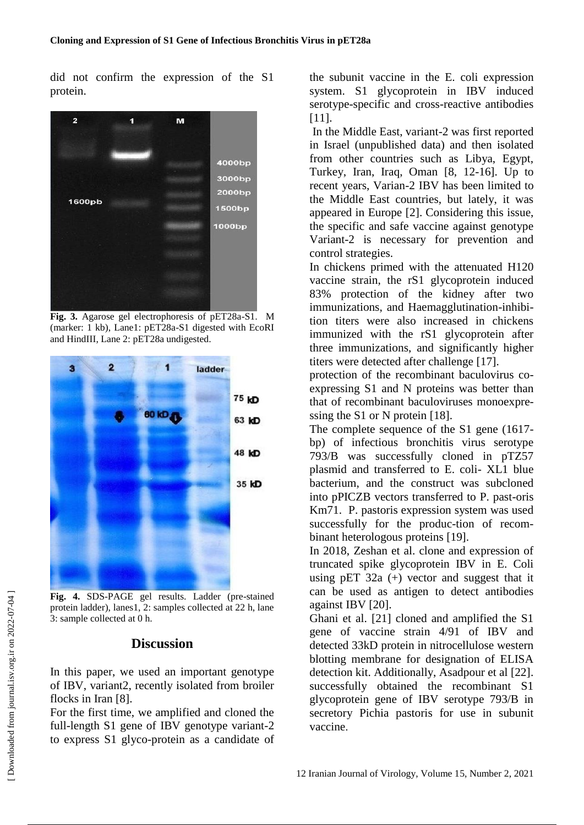did not confirm the expression of the S1 protein.



**Fig. 3.** Agarose gel electrophoresis of pET28a-S1. M (marker: 1 kb), Lane1: pET28a-S1 digested with EcoRI and HindIII, Lane 2: pET28a undigested.



**Fig. 4.** SDS-PAGE gel results. Ladder (pre-stained protein ladder), lanes1, 2: samples collected at 22 h, lane 3: sample collected at 0 h.

#### **Discussion**

In this paper, we used an important genotype of IBV, variant2, recently isolated from broiler flocks in Iran [8].

For the first time, we amplified and cloned the full-length S1 gene of IBV genotype variant-2 to express S1 glyco-protein as a candidate of

the subunit vaccine in the E. coli expression system. S1 glycoprotein in IBV induced serotype-specific and cross-reactive antibodies [11].

In the Middle East, variant-2 was first reported in Israel (unpublished data) and then isolated from other countries such as Libya, Egypt, Turkey, Iran, Iraq, Oman [8, 12-16]. Up to recent years, Varian-2 IBV has been limited to the Middle East countries, but lately, it was appeared in Europe [2]. Considering this issue, the specific and safe vaccine against genotype Variant-2 is necessary for prevention and control strategies.

In chickens primed with the attenuated H120 vaccine strain, the rS1 glycoprotein induced 83% protection of the kidney after two immunizations, and Haemagglutination-inhibition titers were also increased in chickens immunized with the rS1 glycoprotein after three immunizations, and significantly higher titers were detected after challenge [17].

protection of the recombinant baculovirus coexpressing S1 and N proteins was better than that of recombinant baculoviruses monoexpressing the S1 or N protein [18].

The complete sequence of the S1 gene (1617 bp) of infectious bronchitis virus serotype 793/B was successfully cloned in pTZ57 plasmid and transferred to E. coli- XL1 blue bacterium, and the construct was subcloned into pPICZB vectors transferred to P. past-oris Km71. P. pastoris expression system was used successfully for the produc-tion of recombinant heterologous proteins [19].

In 2018, Zeshan et al. clone and expression of truncated spike glycoprotein IBV in E. Coli using  $pET 32a (+)$  vector and suggest that it can be used as antigen to detect antibodies against IBV [20].

Ghani et al. [21] cloned and amplified the S1 gene of vaccine strain 4/91 of IBV and detected 33kD protein in nitrocellulose western blotting membrane for designation of ELISA detection kit. Additionally, Asadpour et al [22]. successfully obtained the recombinant S1 glycoprotein gene of IBV serotype 793/B in secretory Pichia pastoris for use in subunit vaccine.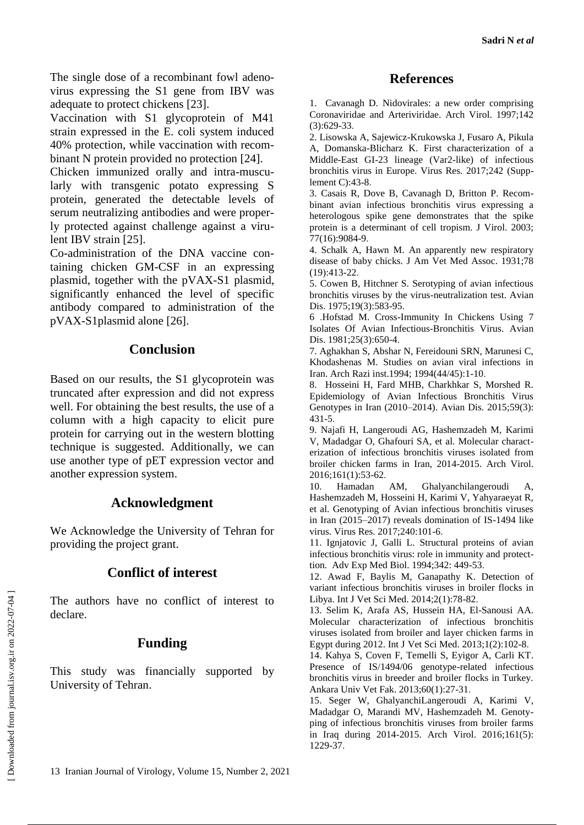The single dose of a recombinant fowl adenovirus expressing the S1 gene from IBV was adequate to protect chickens [23].

Vaccination with S1 glycoprotein of M41 strain expressed in the E. coli system induced 40% protection, while vaccination with recombinant N protein provided no protection [24].

Chicken immunized orally and intra-muscularly with transgenic potato expressing S protein, generated the detectable levels of serum neutralizing antibodies and were properly protected against challenge against a virulent IBV strain [25].

Co-administration of the DNA vaccine containing chicken GM-CSF in an expressing plasmid, together with the pVAX-S1 plasmid, significantly enhanced the level of specific antibody compared to administration of the pVAX-S1plasmid alone [26].

### **Conclusion**

Based on our results, the S1 glycoprotein was truncated after expression and did not express well. For obtaining the best results, the use of a column with a high capacity to elicit pure protein for carrying out in the western blotting technique is suggested. Additionally, we can use another type of pET expression vector and another expression system.

# **Acknowledgment**

We Acknowledge the University of Tehran for providing the project grant.

# **Conflict of interest**

The authors have no conflict of interest to declare.

#### **Funding**

This study was financially supported by University of Tehran.

#### **References**

1. Cavanagh D. Nidovirales: a new order comprising Coronaviridae and Arteriviridae. Arch Virol. 1997;142 (3):629-33.

2. Lisowska A, Sajewicz-Krukowska J, Fusaro A, Pikula A, Domanska-Blicharz K. First characterization of a Middle-East GI-23 lineage (Var2-like) of infectious bronchitis virus in Europe. Virus Res. 2017;242 (Supplement C):43-8.

3. Casais R, Dove B, Cavanagh D, Britton P. Recombinant avian infectious bronchitis virus expressing a heterologous spike gene demonstrates that the spike protein is a determinant of cell tropism. J Virol. 2003; 77(16):9084-9.

4. Schalk A, Hawn M. An apparently new respiratory disease of baby chicks. J Am Vet Med Assoc. 1931;78 (19):413-22.

5. Cowen B, Hitchner S. Serotyping of avian infectious bronchitis viruses by the virus-neutralization test. Avian Dis. 1975;19(3):583-95.

6 .Hofstad M. Cross-Immunity In Chickens Using 7 Isolates Of Avian Infectious-Bronchitis Virus. Avian Dis. 1981;25(3):650-4.

7. Aghakhan S, Abshar N, Fereidouni SRN, Marunesi C, Khodashenas M. Studies on avian viral infections in Iran. Arch Razi inst.1994; 1994(44/45):1-10.

8. Hosseini H, Fard MHB, Charkhkar S, Morshed R. Epidemiology of Avian Infectious Bronchitis Virus Genotypes in Iran (2010–2014). Avian Dis. 2015;59(3): 431-5.

9. Najafi H, Langeroudi AG, Hashemzadeh M, Karimi V, Madadgar O, Ghafouri SA, et al. Molecular characterization of infectious bronchitis viruses isolated from broiler chicken farms in Iran, 2014-2015. Arch Virol. 2016;161(1):53-62.

10. Hamadan AM, Ghalyanchilangeroudi A, Hashemzadeh M, Hosseini H, Karimi V, Yahyaraeyat R, et al. Genotyping of Avian infectious bronchitis viruses in Iran (2015–2017) reveals domination of IS-1494 like virus. Virus Res. 2017;240:101-6.

11. Ignjatovic J, Galli L. Structural proteins of avian infectious bronchitis virus: role in immunity and protecttion. Adv Exp Med Biol. 1994;342: 449-53.

12. Awad F, Baylis M, Ganapathy K. Detection of variant infectious bronchitis viruses in broiler flocks in Libya. Int J Vet Sci Med. 2014;2(1):78-82.

13. Selim K, Arafa AS, Hussein HA, El-Sanousi AA. Molecular characterization of infectious bronchitis viruses isolated from broiler and layer chicken farms in Egypt during 2012. Int J Vet Sci Med. 2013;1(2):102-8.

14. Kahya S, Coven F, Temelli S, Eyigor A, Carli KT. Presence of IS/1494/06 genotype-related infectious bronchitis virus in breeder and broiler flocks in Turkey. Ankara Univ Vet Fak. 2013;60(1):27-31.

15. Seger W, GhalyanchiLangeroudi A, Karimi V, Madadgar O, Marandi MV, Hashemzadeh M. Genotyping of infectious bronchitis viruses from broiler farms in Iraq during 2014-2015. Arch Virol. 2016;161(5): 1229-37.